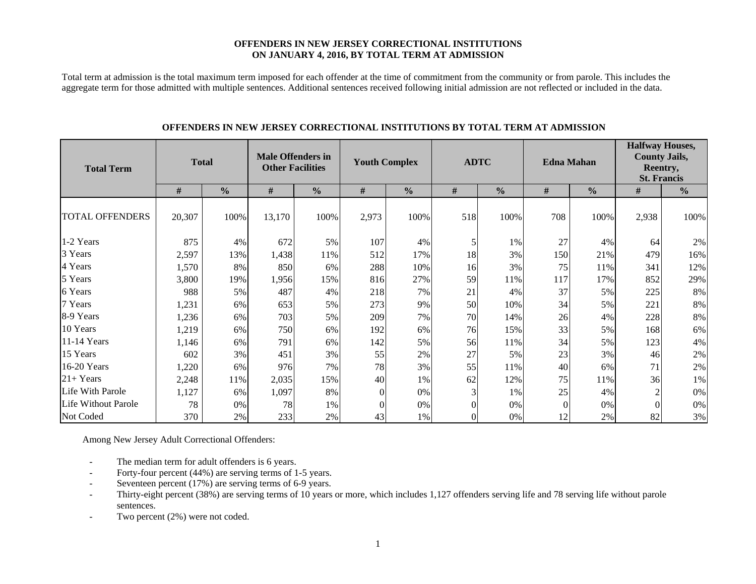#### **OFFENDERS IN NEW JERSEY CORRECTIONAL INSTITUTIONS ON JANUARY 4, 2016, BY TOTAL TERM AT ADMISSION**

Total term at admission is the total maximum term imposed for each offender at the time of commitment from the community or from parole. This includes the aggregate term for those admitted with multiple sentences. Additional sentences received following initial admission are not reflected or included in the data.

| <b>Total Term</b>      |        | <b>Total</b>  | <b>Male Offenders in</b><br><b>Other Facilities</b> |               | <b>Youth Complex</b> |               | <b>ADTC</b> |               | <b>Edna Mahan</b> |               | <b>Halfway Houses,</b><br><b>County Jails,</b><br>Reentry,<br><b>St. Francis</b> |               |  |
|------------------------|--------|---------------|-----------------------------------------------------|---------------|----------------------|---------------|-------------|---------------|-------------------|---------------|----------------------------------------------------------------------------------|---------------|--|
|                        | #      | $\frac{0}{0}$ | $\#$                                                | $\frac{0}{0}$ | $\#$                 | $\frac{0}{0}$ | $\#$        | $\frac{0}{0}$ | $\#$              | $\frac{0}{0}$ | #                                                                                | $\frac{0}{0}$ |  |
| <b>TOTAL OFFENDERS</b> | 20,307 | 100%          | 13,170                                              | 100%          | 2,973                | 100%          | 518         | 100%          | 708               | 100%          | 2,938                                                                            | 100%          |  |
| 1-2 Years              | 875    | 4%            | 672                                                 | 5%            | 107                  | 4%            | 5           | 1%            | 27                | 4%            | 64                                                                               | 2%            |  |
| 3 Years                | 2,597  | 13%           | 1,438                                               | 11%           | 512                  | 17%           | 18          | 3%            | 150               | 21%           | 479                                                                              | 16%           |  |
| 4 Years                | 1,570  | 8%            | 850                                                 | 6%            | 288                  | 10%           | 16          | 3%            | 75                | 11%           | 341                                                                              | 12%           |  |
| 5 Years                | 3,800  | 19%           | 1,956                                               | 15%           | 816                  | 27%           | 59          | 11%           | 117               | 17%           | 852                                                                              | 29%           |  |
| 6 Years                | 988    | 5%            | 487                                                 | 4%            | 218                  | 7%            | 21          | 4%            | 37                | 5%            | 225                                                                              | 8%            |  |
| 7 Years                | 1,231  | 6%            | 653                                                 | 5%            | 273                  | 9%            | 50          | 10%           | 34                | 5%            | 221                                                                              | 8%            |  |
| 8-9 Years              | 1,236  | 6%            | 703                                                 | 5%            | 209                  | 7%            | 70          | 14%           | 26                | 4%            | 228                                                                              | $8\%$         |  |
| 10 Years               | 1,219  | 6%            | 750                                                 | 6%            | 192                  | 6%            | 76          | 15%           | 33                | 5%            | 168                                                                              | 6%            |  |
| 11-14 Years            | 1,146  | 6%            | 791                                                 | 6%            | 142                  | 5%            | 56          | 11%           | 34                | 5%            | 123                                                                              | 4%            |  |
| 15 Years               | 602    | 3%            | 451                                                 | 3%            | 55                   | 2%            | 27          | 5%            | 23                | 3%            | 46                                                                               | 2%            |  |
| 16-20 Years            | 1,220  | 6%            | 976                                                 | 7%            | 78                   | 3%            | 55          | 11%           | 40                | 6%            | 71                                                                               | 2%            |  |
| $21 + Years$           | 2,248  | 11%           | 2,035                                               | 15%           | 40                   | 1%            | 62          | 12%           | 75                | 11%           | 36                                                                               | 1%            |  |
| Life With Parole       | 1,127  | 6%            | 1,097                                               | 8%            | $\Omega$             | 0%            | 3           | 1%            | 25                | 4%            | $\overline{2}$                                                                   | 0%            |  |
| Life Without Parole    | 78     | 0%            | 78                                                  | 1%            | $\theta$             | $0\%$         |             | 0%            | $\Omega$          | 0%            |                                                                                  | $0\%$         |  |
| Not Coded              | 370    | 2%            | 233                                                 | 2%            | 43                   | 1%            |             | 0%            | 12                | 2%            | 82                                                                               | 3%            |  |

#### **OFFENDERS IN NEW JERSEY CORRECTIONAL INSTITUTIONS BY TOTAL TERM AT ADMISSION**

Among New Jersey Adult Correctional Offenders:

- The median term for adult offenders is 6 years.
- Forty-four percent (44%) are serving terms of 1-5 years.
- Seventeen percent (17%) are serving terms of 6-9 years.
- - Thirty-eight percent (38%) are serving terms of 10 years or more, which includes 1,127 offenders serving life and 78 serving life without parole sentences.
- -Two percent (2%) were not coded.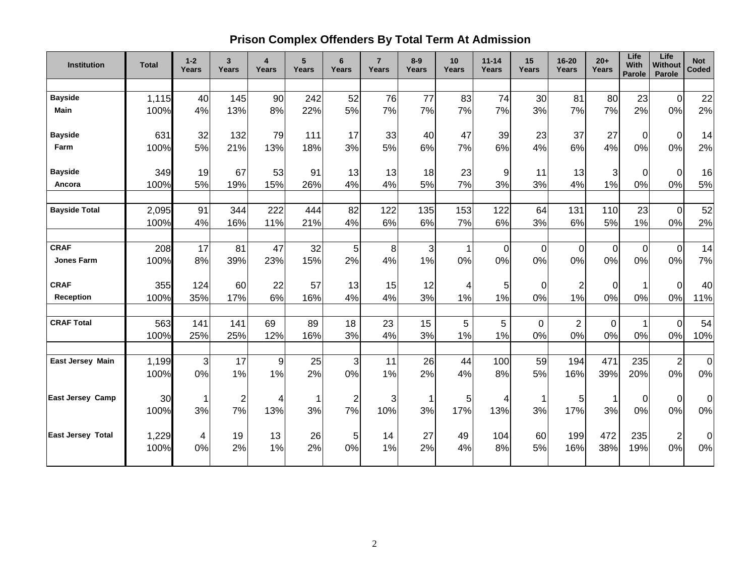# **Prison Complex Offenders By Total Term At Admission**

| <b>Institution</b>       | <b>Total</b> | $1 - 2$<br>Years | 3<br>Years              | $\overline{4}$<br>Years | 5 <sup>5</sup><br>Years | 6<br>Years     | $\overline{7}$<br>Years | $8-9$<br>Years | 10 <sup>1</sup><br>Years | $11 - 14$<br>Years | 15<br>Years      | $16 - 20$<br><b>Years</b> | $20+$<br>Years | Life<br><b>With</b><br><b>Parole</b> | Life<br>Without<br>Parole | <b>Not</b><br>Coded |
|--------------------------|--------------|------------------|-------------------------|-------------------------|-------------------------|----------------|-------------------------|----------------|--------------------------|--------------------|------------------|---------------------------|----------------|--------------------------------------|---------------------------|---------------------|
|                          |              |                  |                         |                         |                         |                |                         |                |                          |                    |                  |                           |                |                                      |                           |                     |
| <b>Bayside</b>           | 1,115        | 40               | 145                     | 90                      | 242                     | 52             | 76                      | 77             | 83                       | 74                 | 30               | 81                        | 80             | 23                                   | $\Omega$                  | 22                  |
| <b>Main</b>              | 100%         | 4%               | 13%                     | 8%                      | 22%                     | 5%             | 7%                      | 7%             | 7%                       | 7%                 | 3%               | 7%                        | 7%             | 2%                                   | 0%                        | 2%                  |
| <b>Bayside</b>           | 631          | 32               | 132                     | 79                      | 111                     | 17             | 33                      | 40             | 47                       | 39                 | 23               | 37                        | 27             | $\mathbf 0$                          | $\mathbf 0$               | 14                  |
| Farm                     | 100%         | 5%               | 21%                     | 13%                     | 18%                     | 3%             | 5%                      | 6%             | 7%                       | 6%                 | 4%               | 6%                        | 4%             | 0%                                   | 0%                        | 2%                  |
| <b>Bayside</b>           | 349          | 19               | 67                      | 53                      | 91                      | 13             | 13                      | 18             | 23                       | 9                  | 11               | 13                        | 3              | 0                                    | $\mathbf 0$               | 16                  |
| Ancora                   | 100%         | 5%               | 19%                     | 15%                     | 26%                     | 4%             | 4%                      | 5%             | 7%                       | 3%                 | 3%               | 4%                        | 1%             | 0%                                   | 0%                        | 5%                  |
| <b>Bayside Total</b>     | 2,095        | 91               | 344                     | 222                     | 444                     | 82             | 122                     | 135            | 153                      | 122                | 64               | 131                       | 110            | 23                                   | $\Omega$                  | 52                  |
|                          | 100%         | 4%               | 16%                     | 11%                     | 21%                     | 4%             | 6%                      | 6%             | 7%                       | 6%                 | 3%               | 6%                        | 5%             | 1%                                   | 0%                        | 2%                  |
| <b>CRAF</b>              | 208          | 17               | 81                      | 47                      | 32                      | 5              | 8                       | 3              |                          | $\mathbf 0$        | $\boldsymbol{0}$ | $\Omega$                  | 0              | 0                                    | $\overline{0}$            | 14                  |
| <b>Jones Farm</b>        | 100%         | 8%               | 39%                     | 23%                     | 15%                     | 2%             | 4%                      | 1%             | 0%                       | 0%                 | 0%               | 0%                        | 0%             | 0%                                   | 0%                        | 7%                  |
| <b>CRAF</b>              | 355          | 124              | 60                      | 22                      | 57                      | 13             | 15                      | 12             | 4                        | 5                  | 0                | 2                         | 0              | 1                                    | $\Omega$                  | 40                  |
| <b>Reception</b>         | 100%         | 35%              | 17%                     | 6%                      | 16%                     | 4%             | 4%                      | 3%             | 1%                       | 1%                 | 0%               | 1%                        | 0%             | 0%                                   | 0%                        | 11%                 |
| <b>CRAF Total</b>        | 563          | 141              | 141                     | 69                      | 89                      | 18             | 23                      | 15             | 5                        | 5                  | $\mathbf 0$      | $\overline{2}$            | $\mathbf 0$    |                                      | $\overline{0}$            | 54                  |
|                          | 100%         | 25%              | 25%                     | 12%                     | 16%                     | 3%             | 4%                      | 3%             | 1%                       | 1%                 | 0%               | 0%                        | 0%             | 0%                                   | 0%                        | 10%                 |
| East Jersey Main         | 1,199        | 3                | 17                      | 9                       | 25                      | 3              | 11                      | 26             | 44                       | 100                | 59               | 194                       | 471            | 235                                  | $\overline{2}$            | $\mathbf 0$         |
|                          | 100%         | 0%               | 1%                      | 1%                      | 2%                      | 0%             | 1%                      | 2%             | 4%                       | 8%                 | 5%               | 16%                       | 39%            | 20%                                  | 0%                        | 0%                  |
| <b>East Jersey Camp</b>  | 30           | 1                | $\overline{\mathbf{c}}$ | 4                       | 1                       | $\overline{2}$ | 3                       | 1              | 5                        | 4                  | 1                | 5                         | 1              | 0                                    | $\mathbf 0$               | 0                   |
|                          | 100%         | 3%               | 7%                      | 13%                     | 3%                      | 7%             | 10%                     | 3%             | 17%                      | 13%                | 3%               | 17%                       | 3%             | 0%                                   | 0%                        | 0%                  |
| <b>East Jersey Total</b> | 1,229        | 4                | 19                      | 13                      | 26                      | 5              | 14                      | 27             | 49                       | 104                | 60               | 199                       | 472            | 235                                  | $\overline{2}$            | 0                   |
|                          | 100%         | 0%               | 2%                      | 1%                      | 2%                      | 0%             | 1%                      | 2%             | 4%                       | 8%                 | 5%               | 16%                       | 38%            | 19%                                  | 0%                        | $0\%$               |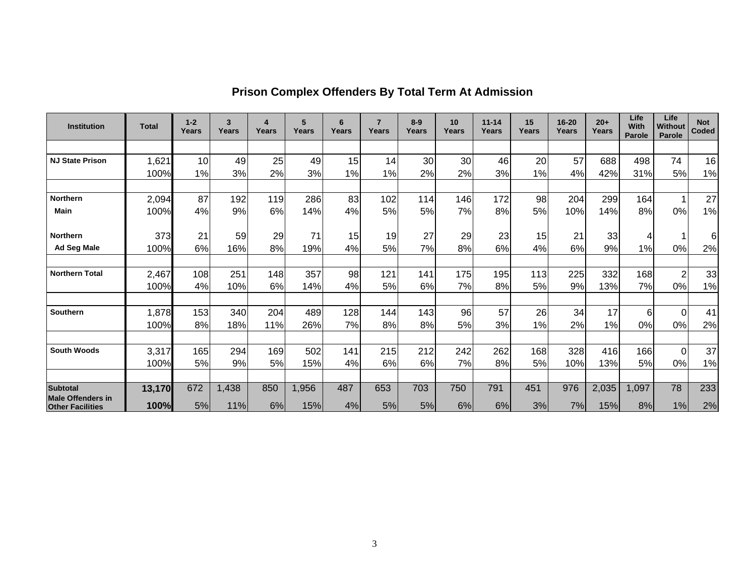| <b>Institution</b>                           | <b>Total</b> | $1 - 2$<br>Years | 3<br>Years | 4<br>Years | 5<br>Years | 6<br>Years | $\overline{7}$<br>Years | $8 - 9$<br>Years | 10<br>Years | $11 - 14$<br>Years | 15<br>Years | 16-20<br>Years | $20+$<br>Years | Life<br>With<br>Parole | Life<br>Without<br>Parole | <b>Not</b><br>Coded |
|----------------------------------------------|--------------|------------------|------------|------------|------------|------------|-------------------------|------------------|-------------|--------------------|-------------|----------------|----------------|------------------------|---------------------------|---------------------|
|                                              |              |                  |            |            |            |            |                         |                  |             |                    |             |                |                |                        |                           |                     |
| <b>NJ State Prison</b>                       | 1,621        | 10               | 49         | 25         | 49         | 15         | 14                      | 30               | 30          | 46                 | 20          | 57             | 688            | 498                    | 74                        | 16                  |
|                                              | 100%         | 1%               | 3%         | 2%         | 3%         | 1%         | 1%                      | 2%               | 2%          | 3%                 | 1%          | 4%             | 42%            | 31%                    | 5%                        | 1%                  |
|                                              |              |                  |            |            |            |            |                         |                  |             |                    |             |                |                |                        |                           |                     |
| <b>Northern</b>                              | 2,094        | 87               | 192        | 119        | 286        | 83         | 102                     | 114              | 146         | 172                | 98          | 204            | 299            | 164                    |                           | 27                  |
| Main                                         | 100%         | 4%               | 9%         | 6%         | 14%        | 4%         | 5%                      | 5%               | 7%          | 8%                 | 5%          | 10%            | 14%            | 8%                     | 0%                        | 1%                  |
|                                              |              |                  |            |            |            |            |                         |                  |             |                    |             |                |                |                        |                           |                     |
| <b>Northern</b>                              | 373          | 21               | 59         | 29         | 71         | 15         | 19                      | 27               | 29          | 23                 | 15          | 21             | 33             | 4                      |                           | 6                   |
| Ad Seg Male                                  | 100%         | 6%               | 16%        | 8%         | 19%        | 4%         | 5%                      | 7%               | 8%          | 6%                 | 4%          | 6%             | 9%             | 1%                     | 0%                        | 2%                  |
|                                              |              |                  |            |            |            |            |                         |                  |             |                    |             |                |                |                        |                           |                     |
| <b>Northern Total</b>                        | 2,467        | 108              | 251        | 148        | 357        | 98         | 121                     | 141              | 175         | 195                | 113         | 225            | 332            | 168                    | $\overline{2}$            | 33                  |
|                                              | 100%         | 4%               | 10%        | 6%         | 14%        | 4%         | 5%                      | 6%               | 7%          | 8%                 | 5%          | 9%             | 13%            | 7%                     | 0%                        | 1%                  |
|                                              |              |                  |            |            |            |            |                         |                  |             |                    |             |                |                |                        |                           |                     |
| Southern                                     | 1,878        | 153              | 340        | 204        | 489        | 128        | 144                     | 143              | 96          | 57                 | 26          | 34             | 17             | 6                      | $\Omega$                  | 41                  |
|                                              | 100%         | 8%               | 18%        | 11%        | 26%        | 7%         | 8%                      | 8%               | 5%          | 3%                 | 1%          | 2%             | 1%             | 0%                     | 0%                        | 2%                  |
|                                              |              |                  |            |            |            |            |                         |                  |             |                    |             |                |                |                        |                           |                     |
| <b>South Woods</b>                           | 3,317        | 165              | 294        | 169        | 502        | 141        | 215                     | 212              | 242         | 262                | 168         | 328            | 416            | 166                    | $\Omega$                  | 37                  |
|                                              | 100%         | 5%               | 9%         | 5%         | 15%        | 4%         | 6%                      | 6%               | 7%          | 8%                 | 5%          | 10%            | 13%            | 5%                     | 0%                        | 1%                  |
|                                              |              |                  |            |            |            |            |                         |                  |             |                    |             |                |                |                        |                           |                     |
| <b>Subtotal</b>                              | 13,170       | 672              | 1,438      | 850        | 1,956      | 487        | 653                     | 703              | 750         | 791                | 451         | 976            | 2,035          | 1,097                  | 78                        | 233                 |
| Male Offenders in<br><b>Other Facilities</b> | 100%         | 5%               | 11%        | 6%         | 15%        | 4%         | 5%                      | 5%               | 6%          | 6%                 | 3%          | 7%             | 15%            | 8%                     | 1%                        | 2%                  |

# **Prison Complex Offenders By Total Term At Admission**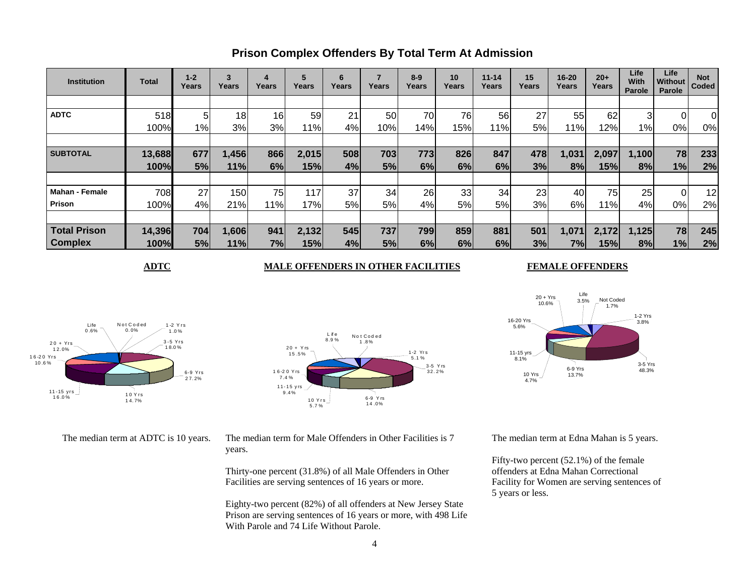| <b>Institution</b>    | Total  | $1 - 2$<br>Years | 3<br>Years      | 4<br>Years | 5<br>Years | 6<br>Years | Years | $8-9$<br>Years | 10<br>Years | $11 - 14$<br>Years | 15<br>Years | $16 - 20$<br>Years | $20+$<br>Years | Life<br>With<br><b>Parole</b> | Life<br><b>Without</b><br>Parole | <b>Not</b><br>Coded |
|-----------------------|--------|------------------|-----------------|------------|------------|------------|-------|----------------|-------------|--------------------|-------------|--------------------|----------------|-------------------------------|----------------------------------|---------------------|
|                       |        |                  |                 |            |            |            |       |                |             |                    |             |                    |                |                               |                                  |                     |
| <b>ADTC</b>           | 518    | 5                | 18 <sup>1</sup> | 16         | 59         | 21         | 50    | 70             | 76          | 56                 | 27          | 55                 | 62             | 3                             | 01                               | $\overline{0}$      |
|                       | 100%   | 1%               | 3%              | 3%         | 11%        | 4%         | 10%   | 14%            | 15%         | 11%                | 5%          | 11%                | 12%            | $1\%$                         | 0%                               | 0%                  |
|                       |        |                  |                 |            |            |            |       |                |             |                    |             |                    |                |                               |                                  |                     |
| <b>SUBTOTAL</b>       | 13,688 | 677              | 1,456           | 866        | 2,015      | 508        | 703   | 773            | 826         | 847                | 478         | 1,031              | 2,097          | 1,100                         | 78                               | 233                 |
|                       | 100%   | 5%               | 11%             | 6%         | 15%        | 4%         | 5%    | 6%             | 6%          | 6%                 | 3%          | 8%                 | 15%            | 8%                            | 1%                               | 2%                  |
|                       |        |                  |                 |            |            |            |       |                |             |                    |             |                    |                |                               |                                  |                     |
| <b>Mahan - Female</b> | 708    | 27               | 150             | 75         | 117        | 37         | 34    | 26             | 33          | 34                 | 23          | 40                 | 75             | 25                            | ΩI                               | 12                  |
| Prison                | 100%   | 4%               | 21%             | 11%        | 17%        | 5%         | 5%    | 4%             | 5%          | 5%                 | 3%          | 6%                 | 11%            | 4%                            | 0%                               | 2%                  |
|                       |        |                  |                 |            |            |            |       |                |             |                    |             |                    |                |                               |                                  |                     |
| <b>Total Prison</b>   | 14,396 | 704              | 1,606           | 941        | 2,132      | 545        | 737   | 799            | 859         | 881                | 501         | 1,071              | 2,172          | 1,125                         | 78                               | 245                 |
| <b>Complex</b>        | 100%   | 5%               | 11%             | 7%         | 15%        | 4%         | 5%    | 6%             | 6%          | 6%                 | 3%          | 7%l                | 15%            | 8%                            | 1%                               | 2%                  |

### **Prison Complex Offenders By Total Term At Admission**

#### **ADTC** MALE OFFENDERS IN OTHER FACILITIES

#### **FEMALE OFFENDERS**



20 + Y rs 15 .5%1 6-2 0 Y rs7.4 %3-5 Y rs 32.2%11- 1 5 y rs 9.4% 10 Yrs 5.7 %6-9 Y rs 14 .0%L if e 8.9 %1-2 Yr s 5.1 %No t Cod ed 1 .8%

The median term at ADTC is 10 years. The median term for Male Offenders in Other Facilities is 7 years.

> Thirty-one percent (31.8%) of all Male Offenders in Other Facilities are serving sentences of 16 years or more.

Eighty-two percent (82%) of all offenders at New Jersey State Prison are serving sentences of 16 years or more, with 498 Life With Parole and 74 Life Without Parole.



The median term at Edna Mahan is 5 years.

Fifty-two percent (52.1%) of the female offenders at Edna Mahan Correctional Facility for Women are serving sentences of 5 years or less.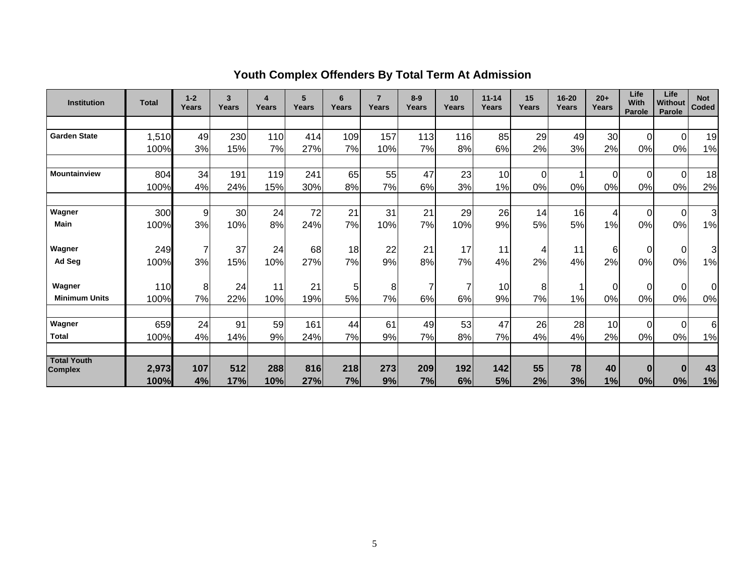| <b>Institution</b>                   | <b>Total</b>  | $1 - 2$<br>Years | 3<br>Years | 4<br>Years | 5<br>Years | 6<br>Years | $\overline{7}$<br>Years | $8-9$<br>Years | 10<br>Years | $11 - 14$<br>Years | 15<br>Years | $16 - 20$<br><b>Years</b> | $20+$<br>Years | Life<br><b>With</b><br>Parole | Life<br>Without<br>Parole | <b>Not</b><br><b>Coded</b> |
|--------------------------------------|---------------|------------------|------------|------------|------------|------------|-------------------------|----------------|-------------|--------------------|-------------|---------------------------|----------------|-------------------------------|---------------------------|----------------------------|
|                                      |               |                  |            |            |            |            |                         |                |             |                    |             |                           |                |                               |                           |                            |
| <b>Garden State</b>                  | 1,510         | 49               | 230        | 110        | 414        | 109        | 157                     | 113            | 116         | 85                 | 29          | 49                        | 30             | $\Omega$                      | $\overline{0}$            | 19                         |
|                                      | 100%          | 3%               | 15%        | 7%         | 27%        | 7%         | 10%                     | 7%             | 8%          | 6%                 | 2%          | 3%                        | 2%             | 0%                            | 0%                        | 1%                         |
|                                      |               |                  |            |            |            |            |                         |                |             |                    |             |                           |                |                               |                           |                            |
| <b>Mountainview</b>                  | 804           | 34               | 191        | 119        | 241        | 65         | 55                      | 47             | 23          | 10                 | $\mathbf 0$ |                           | $\Omega$       | $\Omega$                      | $\Omega$                  | 18                         |
|                                      | 100%          | 4%               | 24%        | 15%        | 30%        | 8%         | 7%                      | 6%             | 3%          | 1%                 | 0%          | 0%                        | 0%             | 0%                            | 0%                        | 2%                         |
|                                      |               |                  |            |            |            |            |                         |                |             |                    |             |                           |                |                               |                           |                            |
| Wagner                               | 300           | 9                | 30         | 24         | 72         | 21         | 31                      | 21             | 29          | 26                 | 14          | 16                        | 4              | $\Omega$                      | $\Omega$                  | $\mathbf{3}$               |
| <b>Main</b>                          | 100%          | 3%               | 10%        | 8%         | 24%        | 7%         | 10%                     | 7%             | 10%         | 9%                 | 5%          | 5%                        | 1%             | 0%                            | 0%                        | 1%                         |
| Wagner                               | 249           | $\overline{7}$   | 37         | 24         | 68         | 18         | 22                      | 21             | 17          | 11                 | 4           | 11                        | $6 \mid$       | $\Omega$                      | $\Omega$                  | 3                          |
| Ad Seg                               | 100%          | 3%               | 15%        | 10%        | 27%        | 7%         | 9%                      | 8%             | 7%          | 4%                 | 2%          | 4%                        | 2%             | 0%                            | 0%                        | 1%                         |
| Wagner                               | 110           | 8                | 24         | 11         | 21         | 5          | 8                       | $\overline{7}$ | 7           | 10                 | 8           |                           | $\Omega$       | $\Omega$                      | $\Omega$                  | 0                          |
| <b>Minimum Units</b>                 | 100%          | 7%               | 22%        | 10%        | 19%        | 5%         | 7%                      | 6%             | 6%          | 9%                 | 7%          | 1%                        | 0%             | 0%                            | 0%                        | 0%                         |
|                                      |               |                  |            |            |            |            |                         |                |             |                    |             |                           |                |                               |                           |                            |
| Wagner                               | 659           | 24               | 91         | 59         | 161        | 44         | 61                      | 49             | 53          | 47                 | 26          | 28                        | 10             | 0                             | $\Omega$                  | 6                          |
| <b>Total</b>                         | 100%          | 4%               | 14%        | 9%         | 24%        | 7%         | 9%                      | 7%             | 8%          | 7%                 | 4%          | 4%                        | 2%             | 0%                            | 0%                        | 1%                         |
|                                      |               |                  |            |            |            |            |                         |                |             |                    |             |                           |                |                               |                           |                            |
| <b>Total Youth</b><br><b>Complex</b> | 2,973<br>100% | 107<br>4%        | 512<br>17% | 288<br>10% | 816<br>27% | 218<br>7%  | 273<br>9%               | 209<br>7%      | 192<br>6%   | 142<br>5%          | 55<br>2%    | 78<br>3%                  | 40<br>1%       | $\bf{0}$<br>0%                | $\bf{0}$<br>0%            | 43<br>1%                   |

# **Youth Complex Offenders By Total Term At Admission**